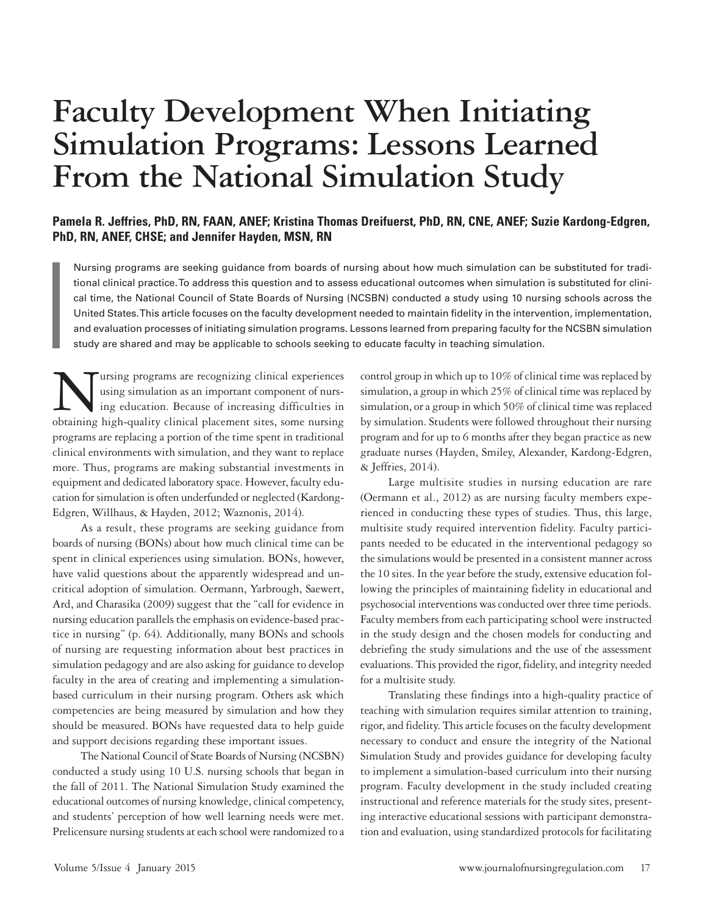# **Faculty Development When Initiating Simulation Programs: Lessons Learned From the National Simulation Study**

## **Pamela R. Jeffries, PhD, RN, FAAN, ANEF; Kristina Thomas Dreifuerst, PhD, RN, CNE, ANEF; Suzie Kardong-Edgren, PhD, RN, ANEF, CHSE; and Jennifer Hayden, MSN, RN**

Nursing programs are seeking guidance from boards of nursing about how much simulation can be substituted for traditional clinical practice. To address this question and to assess educational outcomes when simulation is substituted for clinical time, the National Council of State Boards of Nursing (NCSBN) conducted a study using 10 nursing schools across the United States. This article focuses on the faculty development needed to maintain fidelity in the intervention, implementation, and evaluation processes of initiating simulation programs. Lessons learned from preparing faculty for the NCSBN simulation study are shared and may be applicable to schools seeking to educate faculty in teaching simulation.

tursing programs are recognizing clinical experiences using simulation as an important component of nursing education. Because of increasing difficulties in obtaining high-quality clinical placement sites, some nursing programs are replacing a portion of the time spent in traditional clinical environments with simulation, and they want to replace more. Thus, programs are making substantial investments in equipment and dedicated laboratory space. However, faculty education for simulation is often underfunded or neglected (Kardong-Edgren, Willhaus, & Hayden, 2012; Waznonis, 2014).

As a result, these programs are seeking guidance from boards of nursing (BONs) about how much clinical time can be spent in clinical experiences using simulation. BONs, however, have valid questions about the apparently widespread and uncritical adoption of simulation. Oermann, Yarbrough, Saewert, Ard, and Charasika (2009) suggest that the "call for evidence in nursing education parallels the emphasis on evidence-based practice in nursing" (p. 64). Additionally, many BONs and schools of nursing are requesting information about best practices in simulation pedagogy and are also asking for guidance to develop faculty in the area of creating and implementing a simulationbased curriculum in their nursing program. Others ask which competencies are being measured by simulation and how they should be measured. BONs have requested data to help guide and support decisions regarding these important issues.

The National Council of State Boards of Nursing (NCSBN) conducted a study using 10 U.S. nursing schools that began in the fall of 2011. The National Simulation Study examined the educational outcomes of nursing knowledge, clinical competency, and students' perception of how well learning needs were met. Prelicensure nursing students at each school were randomized to a control group in which up to 10% of clinical time was replaced by simulation, a group in which 25% of clinical time was replaced by simulation, or a group in which 50% of clinical time was replaced by simulation. Students were followed throughout their nursing program and for up to 6 months after they began practice as new graduate nurses (Hayden, Smiley, Alexander, Kardong-Edgren, & Jeffries, 2014).

Large multisite studies in nursing education are rare (Oermann et al., 2012) as are nursing faculty members experienced in conducting these types of studies. Thus, this large, multisite study required intervention fidelity. Faculty participants needed to be educated in the interventional pedagogy so the simulations would be presented in a consistent manner across the 10 sites. In the year before the study, extensive education following the principles of maintaining fidelity in educational and psychosocial interventions was conducted over three time periods. Faculty members from each participating school were instructed in the study design and the chosen models for conducting and debriefing the study simulations and the use of the assessment evaluations. This provided the rigor, fidelity, and integrity needed for a multisite study.

Translating these findings into a high-quality practice of teaching with simulation requires similar attention to training, rigor, and fidelity. This article focuses on the faculty development necessary to conduct and ensure the integrity of the National Simulation Study and provides guidance for developing faculty to implement a simulation-based curriculum into their nursing program. Faculty development in the study included creating instructional and reference materials for the study sites, presenting interactive educational sessions with participant demonstration and evaluation, using standardized protocols for facilitating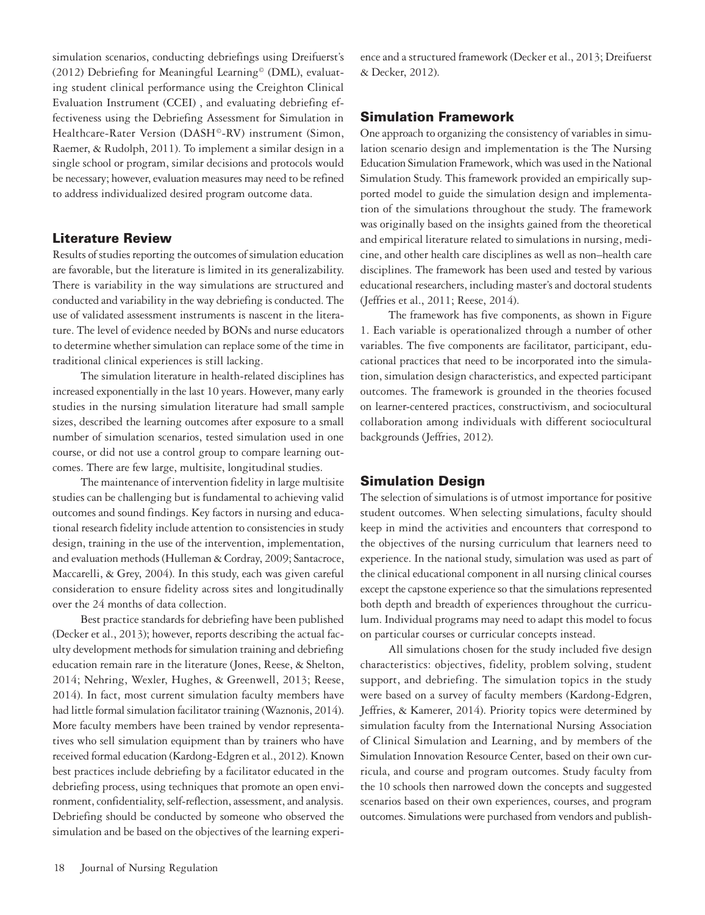simulation scenarios, conducting debriefings using Dreifuerst's (2012) Debriefing for Meaningful Learning© (DML), evaluating student clinical performance using the Creighton Clinical Evaluation Instrument (CCEI) , and evaluating debriefing effectiveness using the Debriefing Assessment for Simulation in Healthcare-Rater Version (DASH<sup>©</sup>-RV) instrument (Simon, Raemer, & Rudolph, 2011). To implement a similar design in a single school or program, similar decisions and protocols would be necessary; however, evaluation measures may need to be refined to address individualized desired program outcome data.

## Literature Review

Results of studies reporting the outcomes of simulation education are favorable, but the literature is limited in its generalizability. There is variability in the way simulations are structured and conducted and variability in the way debriefing is conducted. The use of validated assessment instruments is nascent in the literature. The level of evidence needed by BONs and nurse educators to determine whether simulation can replace some of the time in traditional clinical experiences is still lacking.

The simulation literature in health-related disciplines has increased exponentially in the last 10 years. However, many early studies in the nursing simulation literature had small sample sizes, described the learning outcomes after exposure to a small number of simulation scenarios, tested simulation used in one course, or did not use a control group to compare learning outcomes. There are few large, multisite, longitudinal studies.

The maintenance of intervention fidelity in large multisite studies can be challenging but is fundamental to achieving valid outcomes and sound findings. Key factors in nursing and educational research fidelity include attention to consistencies in study design, training in the use of the intervention, implementation, and evaluation methods (Hulleman & Cordray, 2009; Santacroce, Maccarelli, & Grey, 2004). In this study, each was given careful consideration to ensure fidelity across sites and longitudinally over the 24 months of data collection.

Best practice standards for debriefing have been published (Decker et al., 2013); however, reports describing the actual faculty development methods for simulation training and debriefing education remain rare in the literature (Jones, Reese, & Shelton, 2014; Nehring, Wexler, Hughes, & Greenwell, 2013; Reese, 2014). In fact, most current simulation faculty members have had little formal simulation facilitator training (Waznonis, 2014). More faculty members have been trained by vendor representatives who sell simulation equipment than by trainers who have received formal education (Kardong-Edgren et al., 2012). Known best practices include debriefing by a facilitator educated in the debriefing process, using techniques that promote an open environment, confidentiality, self-reflection, assessment, and analysis. Debriefing should be conducted by someone who observed the simulation and be based on the objectives of the learning experience and a structured framework (Decker et al., 2013; Dreifuerst & Decker, 2012).

# Simulation Framework

One approach to organizing the consistency of variables in simulation scenario design and implementation is the The Nursing Education Simulation Framework, which was used in the National Simulation Study. This framework provided an empirically supported model to guide the simulation design and implementation of the simulations throughout the study. The framework was originally based on the insights gained from the theoretical and empirical literature related to simulations in nursing, medicine, and other health care disciplines as well as non–health care disciplines. The framework has been used and tested by various educational researchers, including master's and doctoral students (Jeffries et al., 2011; Reese, 2014).

The framework has five components, as shown in Figure 1. Each variable is operationalized through a number of other variables. The five components are facilitator, participant, educational practices that need to be incorporated into the simulation, simulation design characteristics, and expected participant outcomes. The framework is grounded in the theories focused on learner-centered practices, constructivism, and sociocultural collaboration among individuals with different sociocultural backgrounds (Jeffries, 2012).

## Simulation Design

The selection of simulations is of utmost importance for positive student outcomes. When selecting simulations, faculty should keep in mind the activities and encounters that correspond to the objectives of the nursing curriculum that learners need to experience. In the national study, simulation was used as part of the clinical educational component in all nursing clinical courses except the capstone experience so that the simulations represented both depth and breadth of experiences throughout the curriculum. Individual programs may need to adapt this model to focus on particular courses or curricular concepts instead.

All simulations chosen for the study included five design characteristics: objectives, fidelity, problem solving, student support, and debriefing. The simulation topics in the study were based on a survey of faculty members (Kardong-Edgren, Jeffries, & Kamerer, 2014). Priority topics were determined by simulation faculty from the International Nursing Association of Clinical Simulation and Learning, and by members of the Simulation Innovation Resource Center, based on their own curricula, and course and program outcomes. Study faculty from the 10 schools then narrowed down the concepts and suggested scenarios based on their own experiences, courses, and program outcomes. Simulations were purchased from vendors and publish-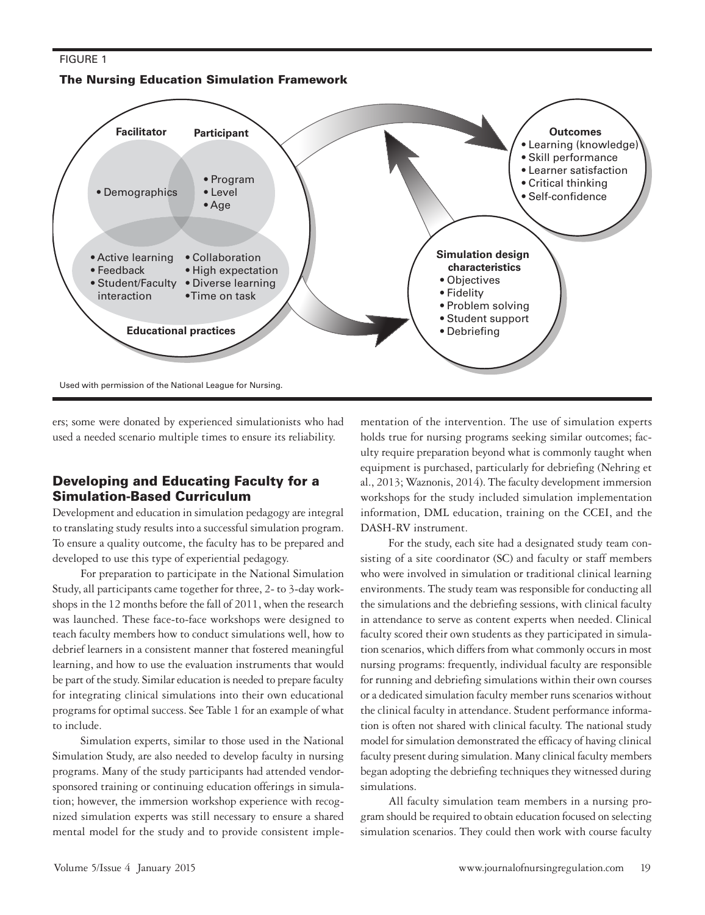## FIGURE 1

## The Nursing Education Simulation Framework



ers; some were donated by experienced simulationists who had used a needed scenario multiple times to ensure its reliability.

## Developing and Educating Faculty for a Simulation-Based Curriculum

Development and education in simulation pedagogy are integral to translating study results into a successful simulation program. To ensure a quality outcome, the faculty has to be prepared and developed to use this type of experiential pedagogy.

For preparation to participate in the National Simulation Study, all participants came together for three, 2- to 3-day workshops in the 12 months before the fall of 2011, when the research was launched. These face-to-face workshops were designed to teach faculty members how to conduct simulations well, how to debrief learners in a consistent manner that fostered meaningful learning, and how to use the evaluation instruments that would be part of the study. Similar education is needed to prepare faculty for integrating clinical simulations into their own educational programs for optimal success. See Table 1 for an example of what to include.

Simulation experts, similar to those used in the National Simulation Study, are also needed to develop faculty in nursing programs. Many of the study participants had attended vendorsponsored training or continuing education offerings in simulation; however, the immersion workshop experience with recognized simulation experts was still necessary to ensure a shared mental model for the study and to provide consistent implementation of the intervention. The use of simulation experts holds true for nursing programs seeking similar outcomes; faculty require preparation beyond what is commonly taught when equipment is purchased, particularly for debriefing (Nehring et al., 2013; Waznonis, 2014). The faculty development immersion workshops for the study included simulation implementation information, DML education, training on the CCEI, and the DASH-RV instrument.

For the study, each site had a designated study team consisting of a site coordinator (SC) and faculty or staff members who were involved in simulation or traditional clinical learning environments. The study team was responsible for conducting all the simulations and the debriefing sessions, with clinical faculty in attendance to serve as content experts when needed. Clinical faculty scored their own students as they participated in simulation scenarios, which differs from what commonly occurs in most nursing programs: frequently, individual faculty are responsible for running and debriefing simulations within their own courses or a dedicated simulation faculty member runs scenarios without the clinical faculty in attendance. Student performance information is often not shared with clinical faculty. The national study model for simulation demonstrated the efficacy of having clinical faculty present during simulation. Many clinical faculty members began adopting the debriefing techniques they witnessed during simulations.

All faculty simulation team members in a nursing program should be required to obtain education focused on selecting simulation scenarios. They could then work with course faculty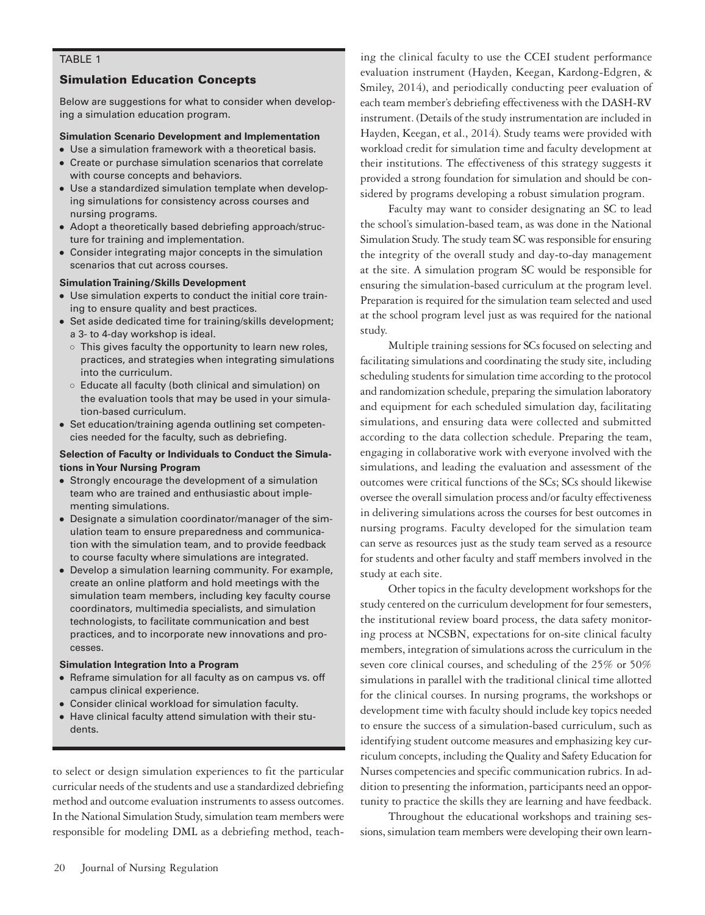## TABLE 1

## Simulation Education Concepts

Below are suggestions for what to consider when developing a simulation education program.

#### **Simulation Scenario Development and Implementation**

- ⦁⦁ Use a simulation framework with a theoretical basis.
- ⦁⦁ Create or purchase simulation scenarios that correlate with course concepts and behaviors.
- ⦁⦁ Use a standardized simulation template when developing simulations for consistency across courses and nursing programs.
- ⦁⦁ Adopt a theoretically based debriefing approach/structure for training and implementation.
- ⦁⦁ Consider integrating major concepts in the simulation scenarios that cut across courses.

#### **Simulation Training/Skills Development**

- ⦁⦁ Use simulation experts to conduct the initial core training to ensure quality and best practices.
- ⦁⦁ Set aside dedicated time for training/skills development; a 3- to 4-day workshop is ideal.
	- $\circ$  This gives faculty the opportunity to learn new roles, practices, and strategies when integrating simulations into the curriculum.
	- $\circ$  Educate all faculty (both clinical and simulation) on the evaluation tools that may be used in your simulation-based curriculum.
- ⦁⦁ Set education/training agenda outlining set competencies needed for the faculty, such as debriefing.

### **Selection of Faculty or Individuals to Conduct the Simulations in Your Nursing Program**

- ⦁⦁ Strongly encourage the development of a simulation team who are trained and enthusiastic about implementing simulations.
- ⦁⦁ Designate a simulation coordinator/manager of the simulation team to ensure preparedness and communication with the simulation team, and to provide feedback to course faculty where simulations are integrated.
- ⦁⦁ Develop a simulation learning community. For example, create an online platform and hold meetings with the simulation team members, including key faculty course coordinators, multimedia specialists, and simulation technologists, to facilitate communication and best practices, and to incorporate new innovations and processes.

#### **Simulation Integration Into a Program**

- ⦁⦁ Reframe simulation for all faculty as on campus vs. off campus clinical experience.
- ⦁⦁ Consider clinical workload for simulation faculty.
- Have clinical faculty attend simulation with their students.

to select or design simulation experiences to fit the particular curricular needs of the students and use a standardized debriefing method and outcome evaluation instruments to assess outcomes. In the National Simulation Study, simulation team members were responsible for modeling DML as a debriefing method, teach-

ing the clinical faculty to use the CCEI student performance evaluation instrument (Hayden, Keegan, Kardong-Edgren, & Smiley, 2014), and periodically conducting peer evaluation of each team member's debriefing effectiveness with the DASH-RV instrument. (Details of the study instrumentation are included in Hayden, Keegan, et al., 2014). Study teams were provided with workload credit for simulation time and faculty development at their institutions. The effectiveness of this strategy suggests it provided a strong foundation for simulation and should be considered by programs developing a robust simulation program.

Faculty may want to consider designating an SC to lead the school's simulation-based team, as was done in the National Simulation Study. The study team SC was responsible for ensuring the integrity of the overall study and day-to-day management at the site. A simulation program SC would be responsible for ensuring the simulation-based curriculum at the program level. Preparation is required for the simulation team selected and used at the school program level just as was required for the national study.

Multiple training sessions for SCs focused on selecting and facilitating simulations and coordinating the study site, including scheduling students for simulation time according to the protocol and randomization schedule, preparing the simulation laboratory and equipment for each scheduled simulation day, facilitating simulations, and ensuring data were collected and submitted according to the data collection schedule. Preparing the team, engaging in collaborative work with everyone involved with the simulations, and leading the evaluation and assessment of the outcomes were critical functions of the SCs; SCs should likewise oversee the overall simulation process and/or faculty effectiveness in delivering simulations across the courses for best outcomes in nursing programs. Faculty developed for the simulation team can serve as resources just as the study team served as a resource for students and other faculty and staff members involved in the study at each site.

Other topics in the faculty development workshops for the study centered on the curriculum development for four semesters, the institutional review board process, the data safety monitoring process at NCSBN, expectations for on-site clinical faculty members, integration of simulations across the curriculum in the seven core clinical courses, and scheduling of the 25% or 50% simulations in parallel with the traditional clinical time allotted for the clinical courses. In nursing programs, the workshops or development time with faculty should include key topics needed to ensure the success of a simulation-based curriculum, such as identifying student outcome measures and emphasizing key curriculum concepts, including the Quality and Safety Education for Nurses competencies and specific communication rubrics. In addition to presenting the information, participants need an opportunity to practice the skills they are learning and have feedback.

Throughout the educational workshops and training sessions, simulation team members were developing their own learn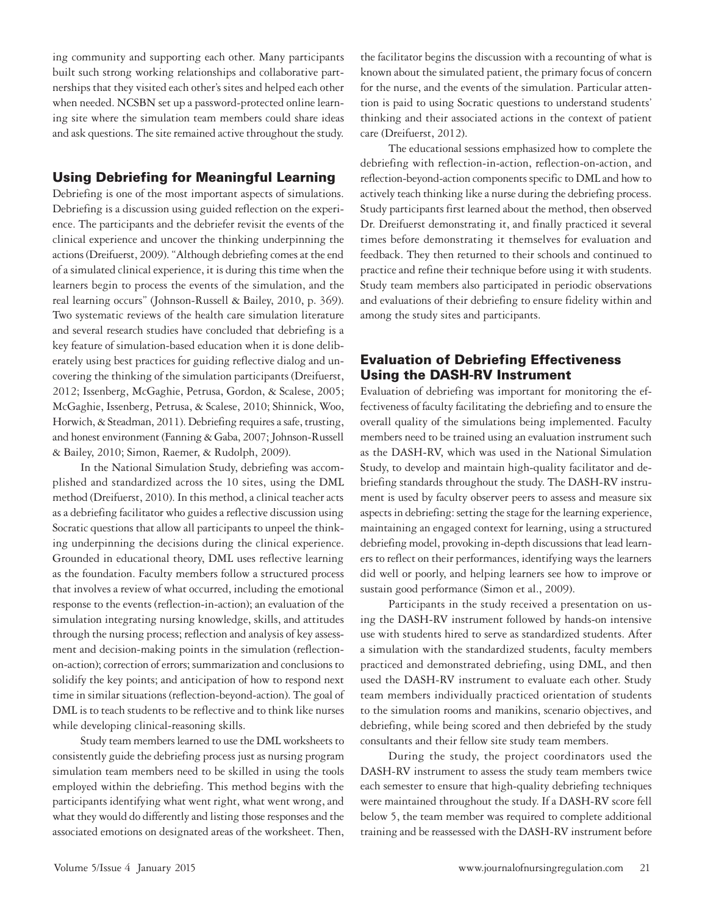ing community and supporting each other. Many participants built such strong working relationships and collaborative partnerships that they visited each other's sites and helped each other when needed. NCSBN set up a password-protected online learning site where the simulation team members could share ideas and ask questions. The site remained active throughout the study.

## Using Debriefing for Meaningful Learning

Debriefing is one of the most important aspects of simulations. Debriefing is a discussion using guided reflection on the experience. The participants and the debriefer revisit the events of the clinical experience and uncover the thinking underpinning the actions (Dreifuerst, 2009). "Although debriefing comes at the end of a simulated clinical experience, it is during this time when the learners begin to process the events of the simulation, and the real learning occurs" (Johnson-Russell & Bailey, 2010, p. 369). Two systematic reviews of the health care simulation literature and several research studies have concluded that debriefing is a key feature of simulation-based education when it is done deliberately using best practices for guiding reflective dialog and uncovering the thinking of the simulation participants (Dreifuerst, 2012; Issenberg, McGaghie, Petrusa, Gordon, & Scalese, 2005; McGaghie, Issenberg, Petrusa, & Scalese, 2010; Shinnick, Woo, Horwich, & Steadman, 2011). Debriefing requires a safe, trusting, and honest environment (Fanning & Gaba, 2007; Johnson-Russell & Bailey, 2010; Simon, Raemer, & Rudolph, 2009).

In the National Simulation Study, debriefing was accomplished and standardized across the 10 sites, using the DML method (Dreifuerst, 2010). In this method, a clinical teacher acts as a debriefing facilitator who guides a reflective discussion using Socratic questions that allow all participants to unpeel the thinking underpinning the decisions during the clinical experience. Grounded in educational theory, DML uses reflective learning as the foundation. Faculty members follow a structured process that involves a review of what occurred, including the emotional response to the events (reflection-in-action); an evaluation of the simulation integrating nursing knowledge, skills, and attitudes through the nursing process; reflection and analysis of key assessment and decision-making points in the simulation (reflectionon-action); correction of errors; summarization and conclusions to solidify the key points; and anticipation of how to respond next time in similar situations (reflection-beyond-action). The goal of DML is to teach students to be reflective and to think like nurses while developing clinical-reasoning skills.

Study team members learned to use the DML worksheets to consistently guide the debriefing process just as nursing program simulation team members need to be skilled in using the tools employed within the debriefing. This method begins with the participants identifying what went right, what went wrong, and what they would do differently and listing those responses and the associated emotions on designated areas of the worksheet. Then,

the facilitator begins the discussion with a recounting of what is known about the simulated patient, the primary focus of concern for the nurse, and the events of the simulation. Particular attention is paid to using Socratic questions to understand students' thinking and their associated actions in the context of patient care (Dreifuerst, 2012).

The educational sessions emphasized how to complete the debriefing with reflection-in-action, reflection-on-action, and reflection-beyond-action components specific to DML and how to actively teach thinking like a nurse during the debriefing process. Study participants first learned about the method, then observed Dr. Dreifuerst demonstrating it, and finally practiced it several times before demonstrating it themselves for evaluation and feedback. They then returned to their schools and continued to practice and refine their technique before using it with students. Study team members also participated in periodic observations and evaluations of their debriefing to ensure fidelity within and among the study sites and participants.

# Evaluation of Debriefing Effectiveness Using the DASH-RV Instrument

Evaluation of debriefing was important for monitoring the effectiveness of faculty facilitating the debriefing and to ensure the overall quality of the simulations being implemented. Faculty members need to be trained using an evaluation instrument such as the DASH-RV, which was used in the National Simulation Study, to develop and maintain high-quality facilitator and debriefing standards throughout the study. The DASH-RV instrument is used by faculty observer peers to assess and measure six aspects in debriefing: setting the stage for the learning experience, maintaining an engaged context for learning, using a structured debriefing model, provoking in-depth discussions that lead learners to reflect on their performances, identifying ways the learners did well or poorly, and helping learners see how to improve or sustain good performance (Simon et al., 2009).

Participants in the study received a presentation on using the DASH-RV instrument followed by hands-on intensive use with students hired to serve as standardized students. After a simulation with the standardized students, faculty members practiced and demonstrated debriefing, using DML, and then used the DASH-RV instrument to evaluate each other. Study team members individually practiced orientation of students to the simulation rooms and manikins, scenario objectives, and debriefing, while being scored and then debriefed by the study consultants and their fellow site study team members.

During the study, the project coordinators used the DASH-RV instrument to assess the study team members twice each semester to ensure that high-quality debriefing techniques were maintained throughout the study. If a DASH-RV score fell below 5, the team member was required to complete additional training and be reassessed with the DASH-RV instrument before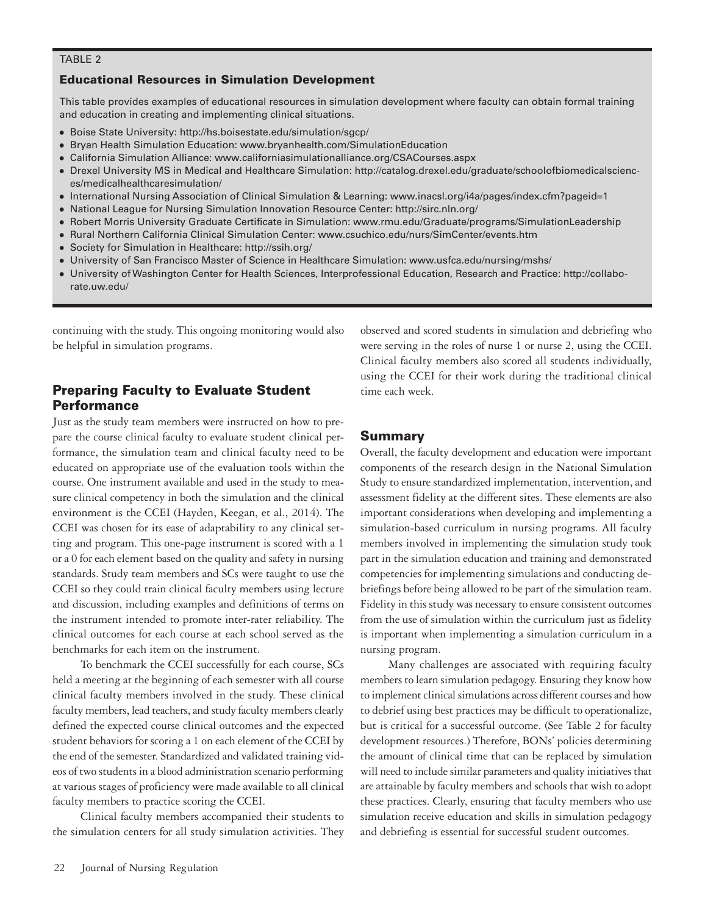## TABLE 2

## Educational Resources in Simulation Development

This table provides examples of educational resources in simulation development where faculty can obtain formal training and education in creating and implementing clinical situations.

- ⦁⦁ Boise State University: http://hs.boisestate.edu/simulation/sgcp/
- ⦁⦁ Bryan Health Simulation Education: www.bryanhealth.com/SimulationEducation
- ⦁⦁ California Simulation Alliance: www.californiasimulationalliance.org/CSACourses.aspx
- ⦁⦁ Drexel University MS in Medical and Healthcare Simulation: http://catalog.drexel.edu/graduate/schoolofbiomedicalsciences/medicalhealthcaresimulation/
- ⦁⦁ International Nursing Association of Clinical Simulation & Learning: www.inacsl.org/i4a/pages/index.cfm?pageid=1
- ⦁⦁ National League for Nursing Simulation Innovation Resource Center: http://sirc.nln.org/
- ⦁⦁ Robert Morris University Graduate Certificate in Simulation: www.rmu.edu/Graduate/programs/SimulationLeadership
- ⦁⦁ Rural Northern California Clinical Simulation Center: www.csuchico.edu/nurs/SimCenter/events.htm
- ⦁⦁ Society for Simulation in Healthcare: http://ssih.org/
- ⦁⦁ University of San Francisco Master of Science in Healthcare Simulation: www.usfca.edu/nursing/mshs/
- ⦁⦁ University of Washington Center for Health Sciences, Interprofessional Education, Research and Practice: http://collaborate.uw.edu/

continuing with the study. This ongoing monitoring would also be helpful in simulation programs.

# Preparing Faculty to Evaluate Student **Performance**

Just as the study team members were instructed on how to prepare the course clinical faculty to evaluate student clinical performance, the simulation team and clinical faculty need to be educated on appropriate use of the evaluation tools within the course. One instrument available and used in the study to measure clinical competency in both the simulation and the clinical environment is the CCEI (Hayden, Keegan, et al., 2014). The CCEI was chosen for its ease of adaptability to any clinical setting and program. This one-page instrument is scored with a 1 or a 0 for each element based on the quality and safety in nursing standards. Study team members and SCs were taught to use the CCEI so they could train clinical faculty members using lecture and discussion, including examples and definitions of terms on the instrument intended to promote inter-rater reliability. The clinical outcomes for each course at each school served as the benchmarks for each item on the instrument.

To benchmark the CCEI successfully for each course, SCs held a meeting at the beginning of each semester with all course clinical faculty members involved in the study. These clinical faculty members, lead teachers, and study faculty members clearly defined the expected course clinical outcomes and the expected student behaviors for scoring a 1 on each element of the CCEI by the end of the semester. Standardized and validated training videos of two students in a blood administration scenario performing at various stages of proficiency were made available to all clinical faculty members to practice scoring the CCEI.

Clinical faculty members accompanied their students to the simulation centers for all study simulation activities. They observed and scored students in simulation and debriefing who were serving in the roles of nurse 1 or nurse 2, using the CCEI. Clinical faculty members also scored all students individually, using the CCEI for their work during the traditional clinical time each week.

## Summary

Overall, the faculty development and education were important components of the research design in the National Simulation Study to ensure standardized implementation, intervention, and assessment fidelity at the different sites. These elements are also important considerations when developing and implementing a simulation-based curriculum in nursing programs. All faculty members involved in implementing the simulation study took part in the simulation education and training and demonstrated competencies for implementing simulations and conducting debriefings before being allowed to be part of the simulation team. Fidelity in this study was necessary to ensure consistent outcomes from the use of simulation within the curriculum just as fidelity is important when implementing a simulation curriculum in a nursing program.

Many challenges are associated with requiring faculty members to learn simulation pedagogy. Ensuring they know how to implement clinical simulations across different courses and how to debrief using best practices may be difficult to operationalize, but is critical for a successful outcome. (See Table 2 for faculty development resources.) Therefore, BONs' policies determining the amount of clinical time that can be replaced by simulation will need to include similar parameters and quality initiatives that are attainable by faculty members and schools that wish to adopt these practices. Clearly, ensuring that faculty members who use simulation receive education and skills in simulation pedagogy and debriefing is essential for successful student outcomes.